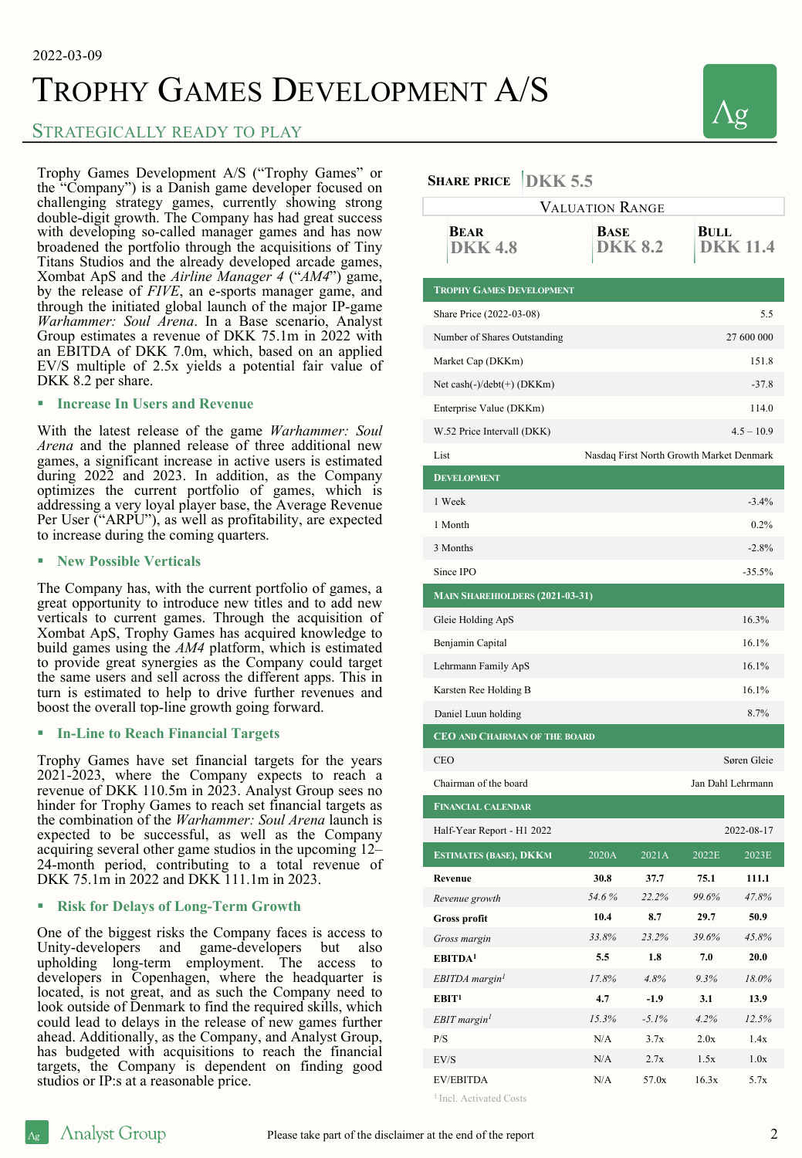# TROPHY GAMES DEVELOPMENT A/S

## STRATEGICALLY READY TO PLAY

Trophy Games Development A/S ("Trophy Games" or the "Company") is a Danish game developer focused on challenging strategy games, currently showing strong double-digit growth. The Company has had great success with developing so-called manager games and has now broadened the portfolio through the acquisitions of Tiny Titans Studios and the already developed arcade games, Xombat ApS and the *Airline Manager 4* ("*AM4*") game, by the release of *FIVE*, an e-sports manager game, and through the initiated global launch of the major IP-game *Warhammer: Soul Arena*. In a Base scenario, Analyst Group estimates a revenue of DKK 75.1m in 2022 with an EBITDA of DKK 7.0m, which, based on an applied EV/S multiple of 2.5x yields a potential fair value of DKK 8.2 per share.

### § **Increase In Users and Revenue**

With the latest release of the game *Warhammer: Soul Arena* and the planned release of three additional new games, a significant increase in active users is estimated during 2022 and 2023. In addition, as the Company optimizes the current portfolio of games, which is addressing a very loyal player base, the Average Revenue Per User ("ARPU"), as well as profitability, are expected to increase during the coming quarters.

### § **New Possible Verticals**

The Company has, with the current portfolio of games, a great opportunity to introduce new titles and to add new verticals to current games. Through the acquisition of Xombat ApS, Trophy Games has acquired knowledge to build games using the *AM4* platform, which is estimated to provide great synergies as the Company could target the same users and sell across the different apps. This in turn is estimated to help to drive further revenues and boost the overall top-line growth going forward.

### § **In-Line to Reach Financial Targets**

Trophy Games have set financial targets for the years 2021-2023, where the Company expects to reach a revenue of DKK 110.5m in 2023. Analyst Group sees no hinder for Trophy Games to reach set financial targets as the combination of the *Warhammer: Soul Arena* launch is expected to be successful, as well as the Company acquiring several other game studios in the upcoming 12– 24-month period, contributing to a total revenue of DKK 75.1m in 2022 and DKK 111.1m in 2023.

### § **Risk for Delays of Long-Term Growth**

One of the biggest risks the Company faces is access to Unity-developers and game-developers but also upholding long-term employment. The access to developers in Copenhagen, where the headquarter is located, is not great, and as such the Company need to look outside of Denmark to find the required skills, which could lead to delays in the release of new games further ahead. Additionally, as the Company, and Analyst Group, has budgeted with acquisitions to reach the financial targets, the Company is dependent on finding good studios or IP:s at a reasonable price.

### $\mathbf{S}_{\text{HAPE}}$  **PRICE**  $\left| \text{D} \mathbf{W} \mathbf{W} \right| \leq \epsilon$

| <b>SHARE I RICE</b><br>$\mathbf{L}\mathbf{L}\mathbf{L}\mathbf{L}$ |                                          |                        |       |                         |  |
|-------------------------------------------------------------------|------------------------------------------|------------------------|-------|-------------------------|--|
| <b>VALUATION RANGE</b>                                            |                                          |                        |       |                         |  |
| <b>BEAR</b><br><b>DKK 4.8</b>                                     |                                          | BASE<br><b>DKK 8.2</b> |       | BULL<br><b>DKK 11.4</b> |  |
| <b>TROPHY GAMES DEVELOPMENT</b>                                   |                                          |                        |       |                         |  |
| Share Price (2022-03-08)                                          |                                          |                        |       | 5.5                     |  |
| Number of Shares Outstanding                                      |                                          |                        |       | 27 600 000              |  |
| Market Cap (DKKm)                                                 |                                          |                        |       | 151.8                   |  |
| Net cash $(-)/$ debt $(+)$ (DKKm)                                 |                                          |                        |       | $-37.8$                 |  |
| Enterprise Value (DKKm)                                           |                                          |                        |       | 114.0                   |  |
| W.52 Price Intervall (DKK)                                        | $4.5 - 10.9$                             |                        |       |                         |  |
| List                                                              | Nasdaq First North Growth Market Denmark |                        |       |                         |  |
| <b>DEVELOPMENT</b>                                                |                                          |                        |       |                         |  |
| 1 Week                                                            |                                          |                        |       | $-3.4%$                 |  |
| 1 Month                                                           |                                          |                        |       | 0.2%                    |  |
| 3 Months                                                          |                                          |                        |       | $-2.8%$                 |  |
| Since IPO                                                         |                                          |                        |       | $-35.5%$                |  |
| <b>MAIN SHAREHIOLDERS (2021-03-31)</b>                            |                                          |                        |       |                         |  |
| Gleie Holding ApS                                                 |                                          |                        |       | 16.3%                   |  |
| Benjamin Capital                                                  |                                          |                        |       | 16.1%                   |  |
| Lehrmann Family ApS                                               |                                          |                        |       | 16.1%                   |  |
| Karsten Ree Holding B                                             |                                          |                        |       | 16.1%                   |  |
| Daniel Luun holding                                               |                                          |                        |       | 8.7%                    |  |
| <b>CEO AND CHAIRMAN OF THE BOARD</b>                              |                                          |                        |       |                         |  |
| <b>CEO</b>                                                        | Søren Gleie                              |                        |       |                         |  |
| Chairman of the board                                             |                                          | Jan Dahl Lehrmann      |       |                         |  |
| <b>FINANCIAL CALENDAR</b>                                         |                                          |                        |       |                         |  |
| Half-Year Report - H1 2022                                        |                                          |                        |       | 2022-08-17              |  |
| <b>ESTIMATES (BASE), DKKM</b>                                     | 2020A                                    | 2021A                  | 2022E | 2023E                   |  |
| Revenue                                                           | 30.8                                     | 37.7                   | 75.1  | 111.1                   |  |
| Revenue growth                                                    | 54.6%                                    | 22.2%                  | 99.6% | 47.8%                   |  |
| <b>Gross profit</b>                                               | 10.4                                     | 8.7                    | 29.7  | 50.9                    |  |
| Gross margin                                                      | 33.8%                                    | 23.2%                  | 39.6% | 45.8%                   |  |
| EBITDA <sup>1</sup>                                               | 5.5                                      | 1.8                    | 7.0   | 20.0                    |  |
| EBITDA margin <sup>1</sup>                                        | 17.8%                                    | 4.8%                   | 9.3%  | 18.0%                   |  |
| EBIT <sup>1</sup>                                                 | 4.7                                      | $-1.9$                 | 3.1   | 13.9                    |  |
| EBIT margin <sup>1</sup>                                          | 15.3%                                    | $-5.1%$                | 4.2%  | 12.5%                   |  |
| P/S                                                               | N/A                                      | 3.7x                   | 2.0x  | 1.4x                    |  |
| EV/S                                                              | N/A                                      | 2.7x                   | 1.5x  | 1.0x                    |  |
| <b>EV/EBITDA</b>                                                  | N/A                                      | 57.0x                  | 16.3x | 5.7x                    |  |

<sup>1.</sup>Incl. Activated Costs